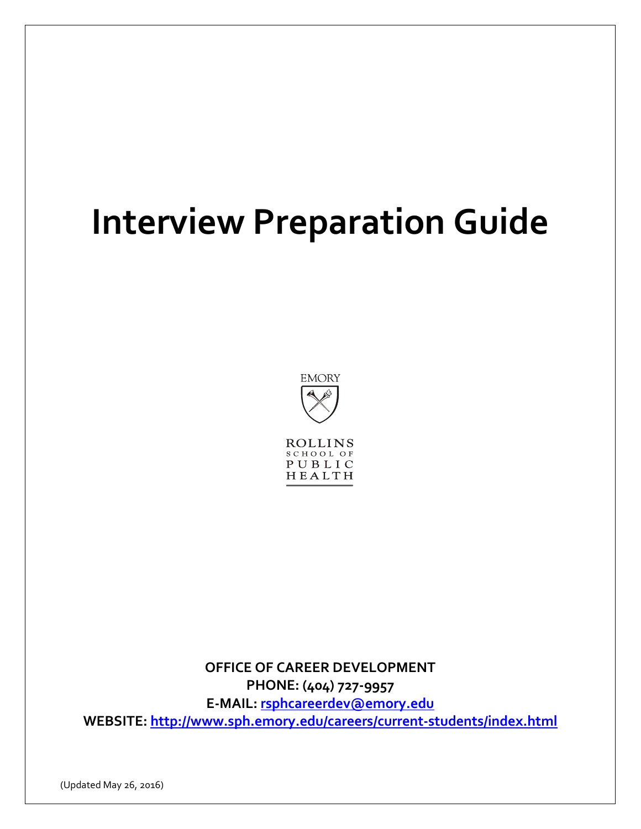# **Interview Preparation Guide**



HEALTH

**OFFICE OF CAREER DEVELOPMENT PHONE: (404) 727-9957 E-MAIL: [rsphcareerdev@emory.edu](mailto:rsphcareerdev@emory.edu) WEBSITE:<http://www.sph.emory.edu/careers/current-students/index.html>**

(Updated May 26, 2016)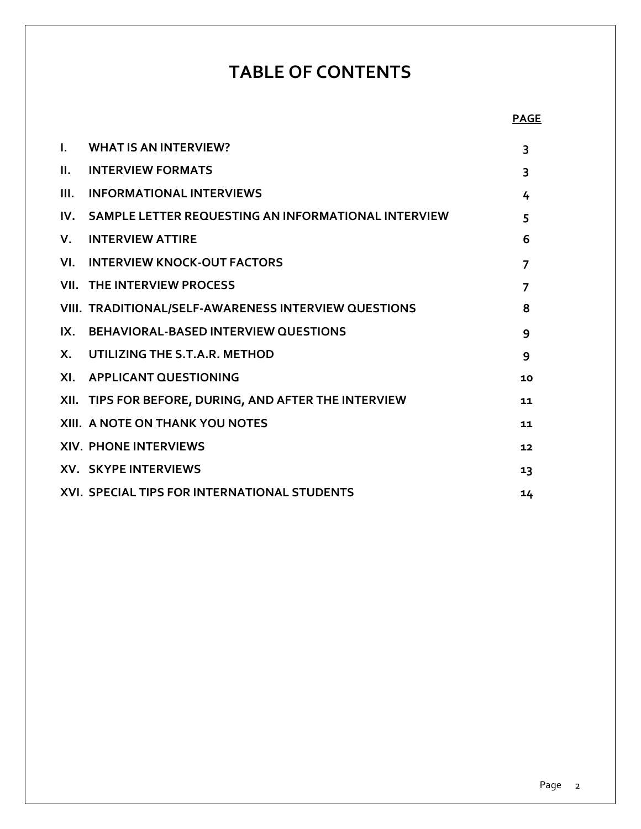# **TABLE OF CONTENTS**

| L.           | <b>WHAT IS AN INTERVIEW?</b>                            | 3              |
|--------------|---------------------------------------------------------|----------------|
| II.          | <b>INTERVIEW FORMATS</b>                                | 3              |
| III.         | <b>INFORMATIONAL INTERVIEWS</b>                         | 4              |
|              | IV. SAMPLE LETTER REQUESTING AN INFORMATIONAL INTERVIEW | 5              |
| V.           | <b>INTERVIEW ATTIRE</b>                                 | 6              |
|              | VI. INTERVIEW KNOCK-OUT FACTORS                         | $\overline{7}$ |
|              | <b>VII. THE INTERVIEW PROCESS</b>                       | $\overline{7}$ |
|              | VIII. TRADITIONAL/SELF-AWARENESS INTERVIEW QUESTIONS    | 8              |
|              | IX. BEHAVIORAL-BASED INTERVIEW QUESTIONS                | 9              |
| $\mathsf{X}$ | UTILIZING THE S.T.A.R. METHOD                           | 9              |
|              | XI. APPLICANT QUESTIONING                               | 10             |
|              | XII. TIPS FOR BEFORE, DURING, AND AFTER THE INTERVIEW   | 11             |
|              | XIII. A NOTE ON THANK YOU NOTES                         | 11             |
|              | <b>XIV. PHONE INTERVIEWS</b>                            | 12             |
|              | <b>XV. SKYPE INTERVIEWS</b>                             | 13             |
|              | XVI. SPECIAL TIPS FOR INTERNATIONAL STUDENTS            | 14             |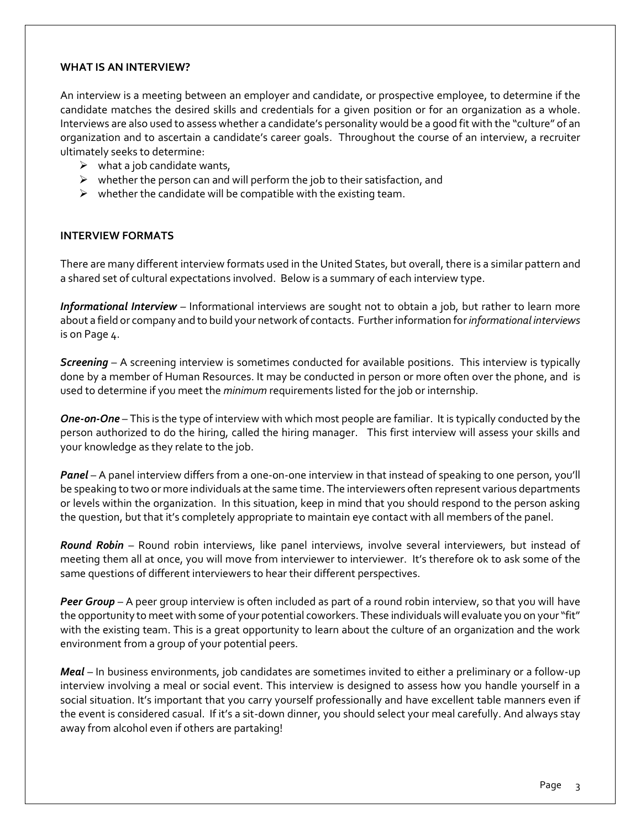#### **WHAT IS AN INTERVIEW?**

An interview is a meeting between an employer and candidate, or prospective employee, to determine if the candidate matches the desired skills and credentials for a given position or for an organization as a whole. Interviews are also used to assess whether a candidate's personality would be a good fit with the "culture" of an organization and to ascertain a candidate's career goals. Throughout the course of an interview, a recruiter ultimately seeks to determine:

- $\triangleright$  what a job candidate wants,
- $\triangleright$  whether the person can and will perform the job to their satisfaction, and
- $\triangleright$  whether the candidate will be compatible with the existing team.

#### **INTERVIEW FORMATS**

There are many different interview formats used in the United States, but overall, there is a similar pattern and a shared set of cultural expectations involved. Below is a summary of each interview type.

*Informational Interview –* Informational interviews are sought not to obtain a job, but rather to learn more about a field or company and to build your network of contacts. Further information for *informational interviews* is on Page 4.

*Screening* – A screening interview is sometimes conducted for available positions. This interview is typically done by a member of Human Resources. It may be conducted in person or more often over the phone, and is used to determine if you meet the *minimum* requirements listed for the job or internship.

*One-on-One* – This is the type of interview with which most people are familiar. It is typically conducted by the person authorized to do the hiring, called the hiring manager. This first interview will assess your skills and your knowledge as they relate to the job.

*Panel* – A panel interview differs from a one-on-one interview in that instead of speaking to one person, you'll be speaking to two or more individuals at the same time. The interviewers often represent various departments or levels within the organization. In this situation, keep in mind that you should respond to the person asking the question, but that it's completely appropriate to maintain eye contact with all members of the panel.

*Round Robin* – Round robin interviews, like panel interviews, involve several interviewers, but instead of meeting them all at once, you will move from interviewer to interviewer. It's therefore ok to ask some of the same questions of different interviewers to hear their different perspectives.

*Peer Group* – A peer group interview is often included as part of a round robin interview, so that you will have the opportunity to meet with some of your potential coworkers. These individuals will evaluate you on your "fit" with the existing team. This is a great opportunity to learn about the culture of an organization and the work environment from a group of your potential peers.

*Meal* – In business environments, job candidates are sometimes invited to either a preliminary or a follow-up interview involving a meal or social event. This interview is designed to assess how you handle yourself in a social situation. It's important that you carry yourself professionally and have excellent table manners even if the event is considered casual. If it's a sit-down dinner, you should select your meal carefully. And always stay away from alcohol even if others are partaking!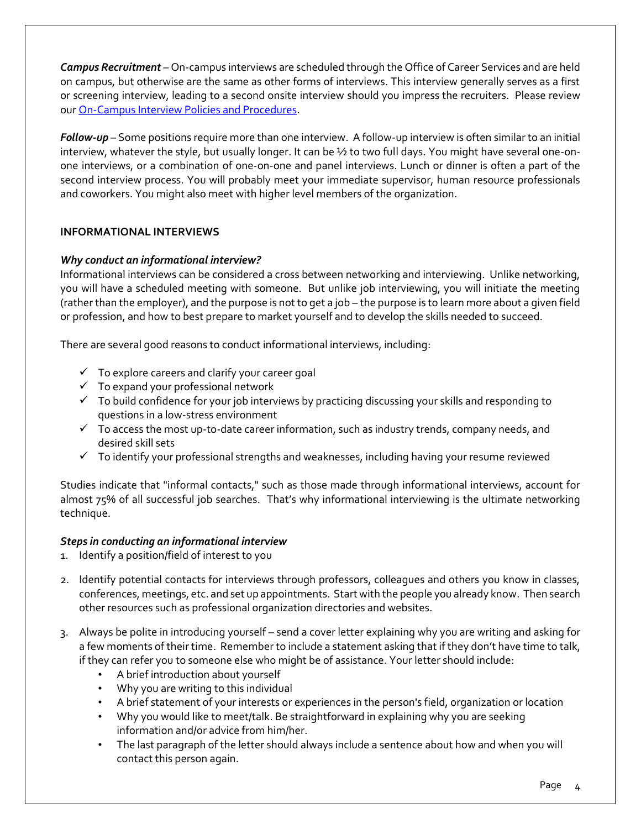*Campus Recruitment –* On-campus interviews are scheduled through the Office of Career Services and are held on campus, but otherwise are the same as other forms of interviews. This interview generally serves as a first or screening interview, leading to a second onsite interview should you impress the recruiters. Please review our [On-Campus Interview Policies and Procedures.](http://devsite.sph.emory.edu/CAREER/interviewpandp_content.htm)

*Follow-up* – Some positions require more than one interview. A follow-up interview is often similar to an initial interview, whatever the style, but usually longer. It can be  $\frac{1}{2}$  to two full days. You might have several one-onone interviews, or a combination of one-on-one and panel interviews. Lunch or dinner is often a part of the second interview process. You will probably meet your immediate supervisor, human resource professionals and coworkers. You might also meet with higher level members of the organization.

## **INFORMATIONAL INTERVIEWS**

#### *Why conduct an informational interview?*

Informational interviews can be considered a cross between networking and interviewing. Unlike networking, you will have a scheduled meeting with someone. But unlike job interviewing, you will initiate the meeting (rather than the employer), and the purpose is not to get a job – the purpose is to learn more about a given field or profession, and how to best prepare to market yourself and to develop the skills needed to succeed.

There are several good reasons to conduct informational interviews, including:

- $\checkmark$  To explore careers and clarify your career goal
- $\checkmark$  To expand your professional network
- $\checkmark$  To build confidence for your job interviews by practicing discussing your skills and responding to questions in a low-stress environment
- $\checkmark$  To access the most up-to-date career information, such as industry trends, company needs, and desired skill sets
- $\checkmark$  To identify your professional strengths and weaknesses, including having your resume reviewed

Studies indicate that "informal contacts," such as those made through informational interviews, account for almost 75% of all successful job searches. That's why informational interviewing is the ultimate networking technique.

#### *Steps in conducting an informational interview*

- 1. Identify a position/field of interest to you
- 2. Identify potential contacts for interviews through professors, colleagues and others you know in classes, conferences, meetings, etc. and set up appointments. Start with the people you already know. Then search other resources such as professional organization directories and websites.
- 3. Always be polite in introducing yourself send a cover letter explaining why you are writing and asking for a few moments of their time. Remember to include a statement asking that if they don't have time to talk, if they can refer you to someone else who might be of assistance. Your letter should include:
	- A brief introduction about yourself
	- Why you are writing to this individual
	- A brief statement of your interests or experiences in the person's field, organization or location
	- Why you would like to meet/talk. Be straightforward in explaining why you are seeking information and/or advice from him/her.
	- The last paragraph of the letter should always include a sentence about how and when you will contact this person again.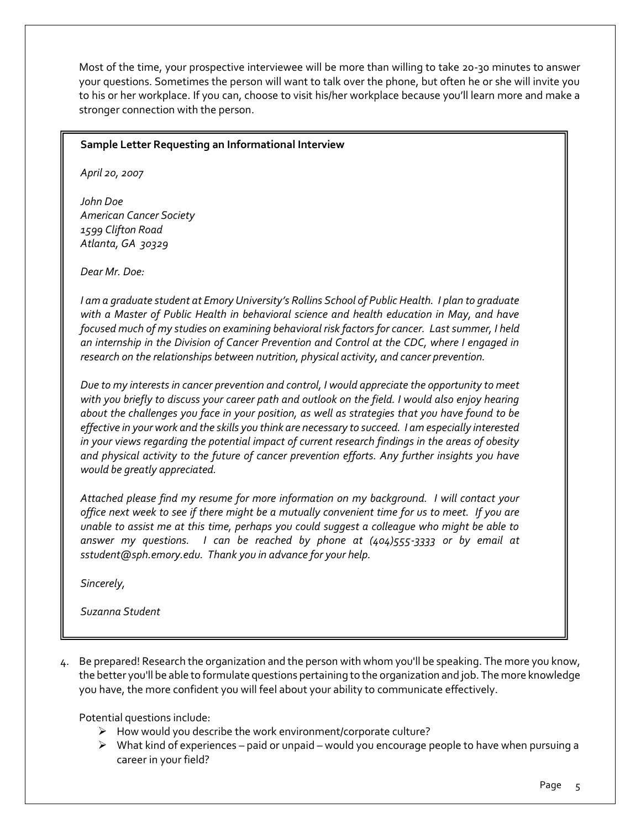Most of the time, your prospective interviewee will be more than willing to take 20-30 minutes to answer your questions. Sometimes the person will want to talk over the phone, but often he or she will invite you to his or her workplace. If you can, choose to visit his/her workplace because you'll learn more and make a stronger connection with the person.

#### **Sample Letter Requesting an Informational Interview**

*April 20, 2007*

*John Doe American Cancer Society 1599 Clifton Road Atlanta, GA 30329* 

*Dear Mr. Doe:* 

*I am a graduate student at Emory University's Rollins School of Public Health. I plan to graduate with a Master of Public Health in behavioral science and health education in May, and have focused much of my studies on examining behavioral risk factors for cancer. Last summer, I held an internship in the Division of Cancer Prevention and Control at the CDC, where I engaged in research on the relationships between nutrition, physical activity, and cancer prevention.*

*Due to my interests in cancer prevention and control, I would appreciate the opportunity to meet with you briefly to discuss your career path and outlook on the field. I would also enjoy hearing about the challenges you face in your position, as well as strategies that you have found to be effective in your work and the skills you think are necessary to succeed. I am especially interested in your views regarding the potential impact of current research findings in the areas of obesity and physical activity to the future of cancer prevention efforts. Any further insights you have would be greatly appreciated.*

*Attached please find my resume for more information on my background. I will contact your office next week to see if there might be a mutually convenient time for us to meet. If you are unable to assist me at this time, perhaps you could suggest a colleague who might be able to answer my questions. I can be reached by phone at (404)555-3333 or by email at [sstudent@sph.emory.edu.](mailto:jelowy78@yahoo.com) Thank you in advance for your help.*

*Sincerely,* 

*Suzanna Student*

4. Be prepared! Research the organization and the person with whom you'll be speaking. The more you know, the better you'll be able to formulate questions pertaining to the organization and job. The more knowledge you have, the more confident you will feel about your ability to communicate effectively.

Potential questions include:

- $\triangleright$  How would you describe the work environment/corporate culture?
- $\triangleright$  What kind of experiences paid or unpaid would you encourage people to have when pursuing a career in your field?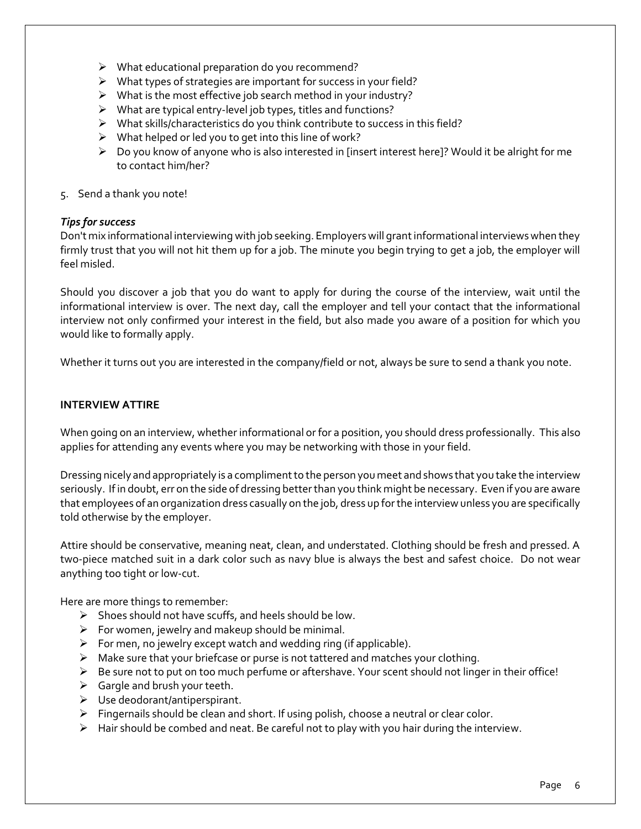- $\triangleright$  What educational preparation do you recommend?
- What types of strategies are important for success in your field?
- $\triangleright$  What is the most effective job search method in your industry?
- $\triangleright$  What are typical entry-level job types, titles and functions?
- $\triangleright$  What skills/characteristics do you think contribute to success in this field?
- $\triangleright$  What helped or led you to get into this line of work?
- $\triangleright$  Do you know of anyone who is also interested in [insert interest here]? Would it be alright for me to contact him/her?
- 5. Send a thank you note!

#### *Tips for success*

Don't mix informational interviewing with job seeking. Employers will grant informational interviews when they firmly trust that you will not hit them up for a job. The minute you begin trying to get a job, the employer will feel misled.

Should you discover a job that you do want to apply for during the course of the interview, wait until the informational interview is over. The next day, call the employer and tell your contact that the informational interview not only confirmed your interest in the field, but also made you aware of a position for which you would like to formally apply.

Whether it turns out you are interested in the company/field or not, always be sure to send a thank you note.

#### **INTERVIEW ATTIRE**

When going on an interview, whether informational or for a position, you should dress professionally. This also applies for attending any events where you may be networking with those in your field.

Dressing nicely and appropriately is a compliment to the person you meet and shows that you take the interview seriously. If in doubt, err on the side of dressing better than you think might be necessary. Even if you are aware that employees of an organization dress casually on the job, dress up for the interview unless you are specifically told otherwise by the employer.

Attire should be conservative, meaning neat, clean, and understated. Clothing should be fresh and pressed. A two-piece matched suit in a dark color such as navy blue is always the best and safest choice. Do not wear anything too tight or low-cut.

Here are more things to remember:

- $\triangleright$  Shoes should not have scuffs, and heels should be low.
- $\triangleright$  For women, jewelry and makeup should be minimal.
- $\triangleright$  For men, no jewelry except watch and wedding ring (if applicable).
- $\triangleright$  Make sure that your briefcase or purse is not tattered and matches your clothing.
- $\triangleright$  Be sure not to put on too much perfume or aftershave. Your scent should not linger in their office!
- $\triangleright$  Gargle and brush your teeth.
- Use deodorant/antiperspirant.
- $\triangleright$  Fingernails should be clean and short. If using polish, choose a neutral or clear color.
- $\triangleright$  Hair should be combed and neat. Be careful not to play with you hair during the interview.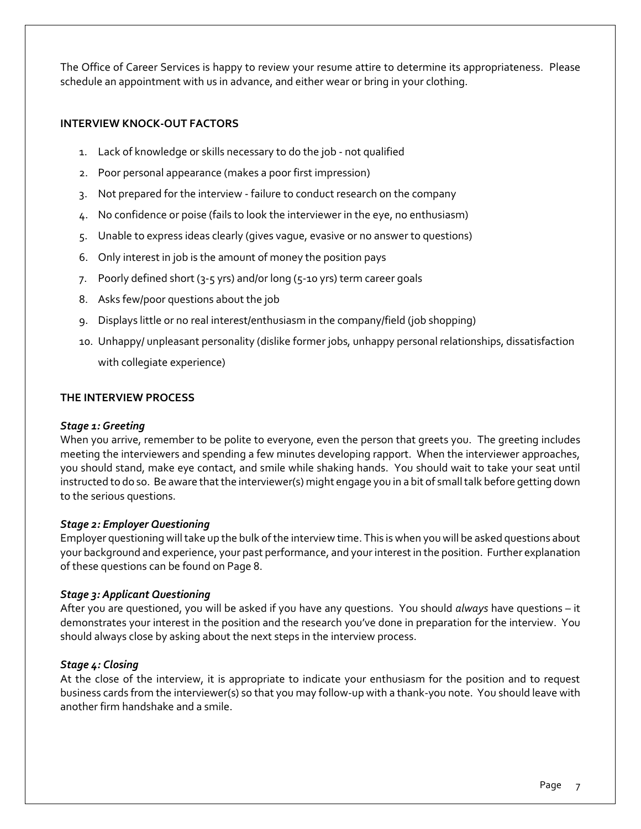The Office of Career Services is happy to review your resume attire to determine its appropriateness. Please schedule an appointment with us in advance, and either wear or bring in your clothing.

#### **INTERVIEW KNOCK-OUT FACTORS**

- 1. Lack of knowledge or skills necessary to do the job not qualified
- 2. Poor personal appearance (makes a poor first impression)
- 3. Not prepared for the interview failure to conduct research on the company
- 4. No confidence or poise (fails to look the interviewer in the eye, no enthusiasm)
- 5. Unable to express ideas clearly (gives vague, evasive or no answer to questions)
- 6. Only interest in job is the amount of money the position pays
- 7. Poorly defined short (3-5 yrs) and/or long (5-10 yrs) term career goals
- 8. Asks few/poor questions about the job
- 9. Displays little or no real interest/enthusiasm in the company/field (job shopping)
- 10. Unhappy/ unpleasant personality (dislike former jobs, unhappy personal relationships, dissatisfaction with collegiate experience)

#### **THE INTERVIEW PROCESS**

#### *Stage 1: Greeting*

When you arrive, remember to be polite to everyone, even the person that greets you. The greeting includes meeting the interviewers and spending a few minutes developing rapport. When the interviewer approaches, you should stand, make eye contact, and smile while shaking hands. You should wait to take your seat until instructed to do so. Be aware that the interviewer(s) might engage you in a bit of small talk before getting down to the serious questions.

#### *Stage 2: Employer Questioning*

Employer questioning will take up the bulk of the interview time. This is when you will be asked questions about your background and experience, your past performance, and your interest in the position. Further explanation of these questions can be found on Page 8.

#### *Stage 3: Applicant Questioning*

After you are questioned, you will be asked if you have any questions. You should *always* have questions – it demonstrates your interest in the position and the research you've done in preparation for the interview. You should always close by asking about the next steps in the interview process.

#### *Stage 4: Closing*

At the close of the interview, it is appropriate to indicate your enthusiasm for the position and to request business cards from the interviewer(s) so that you may follow-up with a thank-you note. You should leave with another firm handshake and a smile.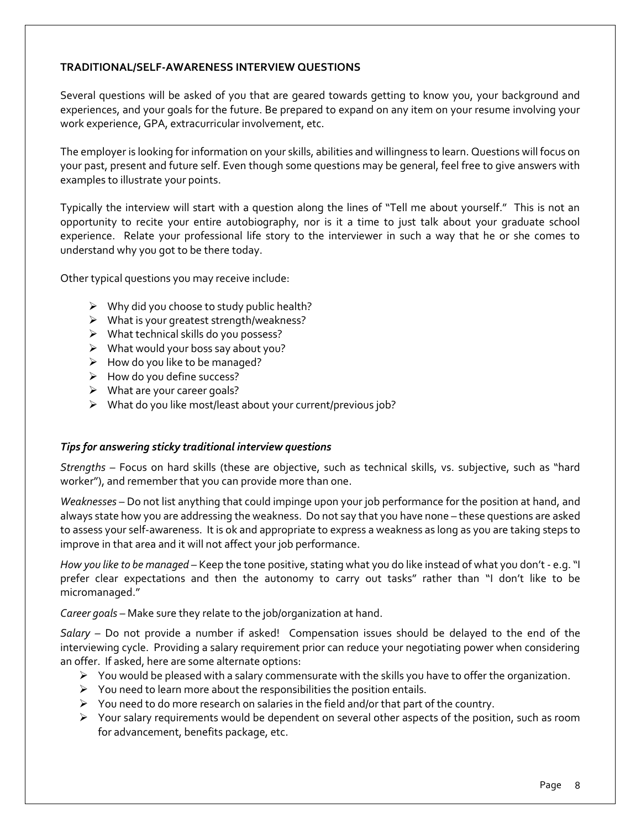#### **TRADITIONAL/SELF-AWARENESS INTERVIEW QUESTIONS**

Several questions will be asked of you that are geared towards getting to know you, your background and experiences, and your goals for the future. Be prepared to expand on any item on your resume involving your work experience, GPA, extracurricular involvement, etc.

The employer is looking for information on your skills, abilities and willingness to learn. Questions will focus on your past, present and future self. Even though some questions may be general, feel free to give answers with examples to illustrate your points.

Typically the interview will start with a question along the lines of "Tell me about yourself." This is not an opportunity to recite your entire autobiography, nor is it a time to just talk about your graduate school experience. Relate your professional life story to the interviewer in such a way that he or she comes to understand why you got to be there today.

Other typical questions you may receive include:

- $\triangleright$  Why did you choose to study public health?
- $\triangleright$  What is your greatest strength/weakness?
- $\triangleright$  What technical skills do you possess?
- $\triangleright$  What would your boss say about you?
- $\triangleright$  How do you like to be managed?
- $\triangleright$  How do you define success?
- $\triangleright$  What are your career goals?
- $\triangleright$  What do you like most/least about your current/previous job?

#### *Tips for answering sticky traditional interview questions*

*Strengths* – Focus on hard skills (these are objective, such as technical skills, vs. subjective, such as "hard worker"), and remember that you can provide more than one.

*Weaknesses* – Do not list anything that could impinge upon your job performance for the position at hand, and always state how you are addressing the weakness. Do not say that you have none – these questions are asked to assess your self-awareness. It is ok and appropriate to express a weakness as long as you are taking steps to improve in that area and it will not affect your job performance.

*How you like to be managed* – Keep the tone positive, stating what you do like instead of what you don't - e.g. "I prefer clear expectations and then the autonomy to carry out tasks" rather than "I don't like to be micromanaged."

*Career goals* – Make sure they relate to the job/organization at hand.

*Salary –* Do not provide a number if asked! Compensation issues should be delayed to the end of the interviewing cycle. Providing a salary requirement prior can reduce your negotiating power when considering an offer. If asked, here are some alternate options:

- $\triangleright$  You would be pleased with a salary commensurate with the skills you have to offer the organization.
- $\triangleright$  You need to learn more about the responsibilities the position entails.
- $\triangleright$  You need to do more research on salaries in the field and/or that part of the country.
- $\triangleright$  Your salary requirements would be dependent on several other aspects of the position, such as room for advancement, benefits package, etc.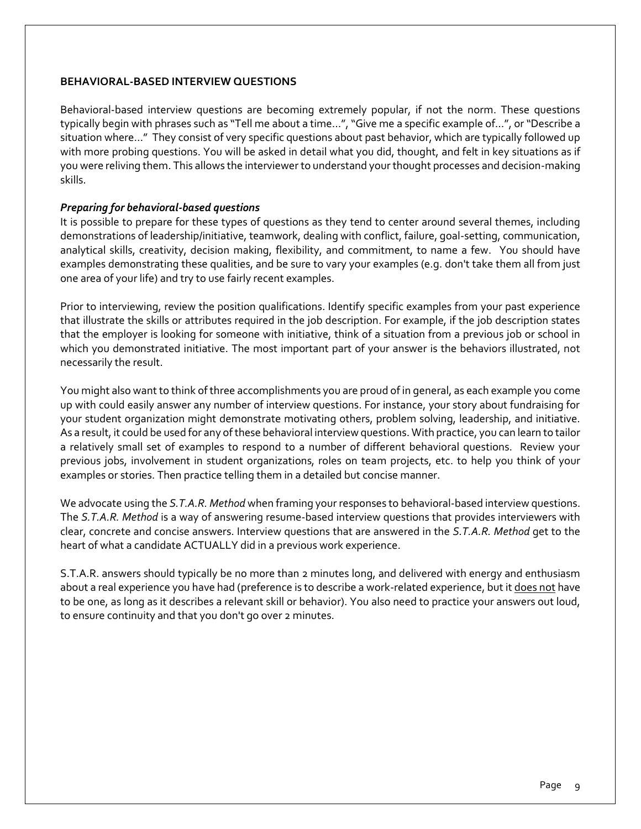#### **BEHAVIORAL-BASED INTERVIEW QUESTIONS**

Behavioral-based interview questions are becoming extremely popular, if not the norm. These questions typically begin with phrases such as "Tell me about a time…", "Give me a specific example of…", or "Describe a situation where…" They consist of very specific questions about past behavior, which are typically followed up with more probing questions. You will be asked in detail what you did, thought, and felt in key situations as if you were reliving them. This allows the interviewer to understand your thought processes and decision-making skills.

#### *Preparing for behavioral-based questions*

It is possible to prepare for these types of questions as they tend to center around several themes, including demonstrations of leadership/initiative, teamwork, dealing with conflict, failure, goal-setting, communication, analytical skills, creativity, decision making, flexibility, and commitment, to name a few. You should have examples demonstrating these qualities, and be sure to vary your examples (e.g. don't take them all from just one area of your life) and try to use fairly recent examples.

Prior to interviewing, review the position qualifications. Identify specific examples from your past experience that illustrate the skills or attributes required in the job description. For example, if the job description states that the employer is looking for someone with initiative, think of a situation from a previous job or school in which you demonstrated initiative. The most important part of your answer is the behaviors illustrated, not necessarily the result.

You might also want to think of three accomplishments you are proud of in general, as each example you come up with could easily answer any number of interview questions. For instance, your story about fundraising for your student organization might demonstrate motivating others, problem solving, leadership, and initiative. As a result, it could be used for any of these behavioral interview questions. With practice, you can learn to tailor a relatively small set of examples to respond to a number of different behavioral questions. Review your previous jobs, involvement in student organizations, roles on team projects, etc. to help you think of your examples or stories. Then practice telling them in a detailed but concise manner.

We advocate using the *S.T.A.R. Method* when framing your responses to behavioral-based interview questions. The *S.T.A.R. Method* is a way of answering resume-based interview questions that provides interviewers with clear, concrete and concise answers. Interview questions that are answered in the *S.T.A.R. Method* get to the heart of what a candidate ACTUALLY did in a previous work experience.

S.T.A.R. answers should typically be no more than 2 minutes long, and delivered with energy and enthusiasm about a real experience you have had (preference is to describe a work-related experience, but it does not have to be one, as long as it describes a relevant skill or behavior). You also need to practice your answers out loud, to ensure continuity and that you don't go over 2 minutes.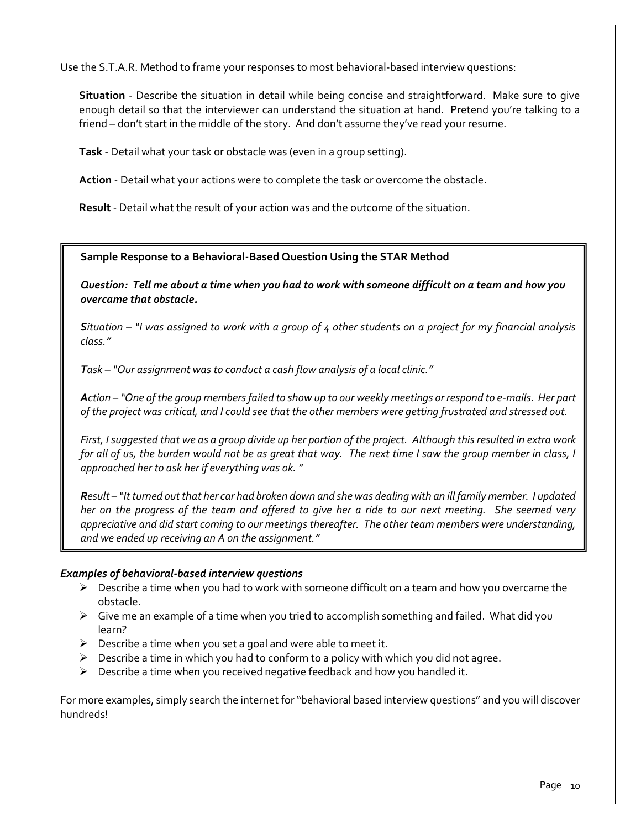Use the S.T.A.R. Method to frame your responses to most behavioral-based interview questions:

**Situation** - Describe the situation in detail while being concise and straightforward. Make sure to give enough detail so that the interviewer can understand the situation at hand. Pretend you're talking to a friend – don't start in the middle of the story. And don't assume they've read your resume.

**Task** - Detail what your task or obstacle was (even in a group setting).

**Action** - Detail what your actions were to complete the task or overcome the obstacle.

**Result** - Detail what the result of your action was and the outcome of the situation.

#### **Sample Response to a Behavioral-Based Question Using the STAR Method**

*Question: Tell me about a time when you had to work with someone difficult on a team and how you overcame that obstacle.*

*Situation – "I was assigned to work with a group of 4 other students on a project for my financial analysis class."*

*Task – "Our assignment was to conduct a cash flow analysis of a local clinic."*

*Action – "One of the group members failed to show up to our weekly meetings or respond to e-mails. Her part of the project was critical, and I could see that the other members were getting frustrated and stressed out.*

*First, I suggested that we as a group divide up her portion of the project. Although this resulted in extra work for all of us, the burden would not be as great that way. The next time I saw the group member in class, I approached her to ask her if everything was ok. "*

*Result – "It turned out that her car had broken down and she was dealing with an ill family member. I updated her on the progress of the team and offered to give her a ride to our next meeting. She seemed very appreciative and did start coming to our meetings thereafter. The other team members were understanding, and we ended up receiving an A on the assignment."*

#### *Examples of behavioral-based interview questions*

- $\triangleright$  Describe a time when you had to work with someone difficult on a team and how you overcame the obstacle.
- $\triangleright$  Give me an example of a time when you tried to accomplish something and failed. What did you learn?
- $\triangleright$  Describe a time when you set a goal and were able to meet it.
- $\triangleright$  Describe a time in which you had to conform to a policy with which you did not agree.
- $\triangleright$  Describe a time when you received negative feedback and how you handled it.

For more examples, simply search the internet for "behavioral based interview questions" and you will discover hundreds!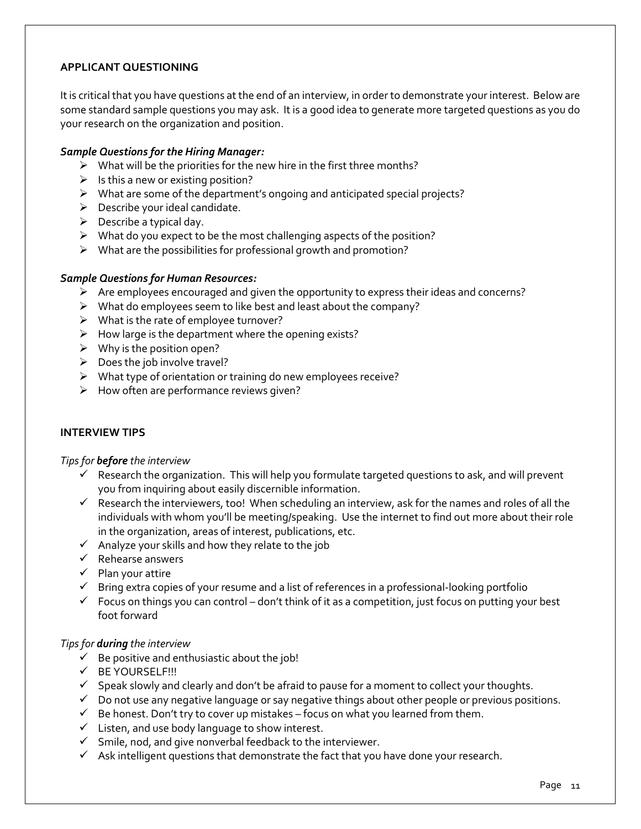#### **APPLICANT QUESTIONING**

It is critical that you have questions at the end of an interview, in order to demonstrate your interest. Below are some standard sample questions you may ask. It is a good idea to generate more targeted questions as you do your research on the organization and position.

#### *Sample Questions for the Hiring Manager:*

- $\triangleright$  What will be the priorities for the new hire in the first three months?
- $\triangleright$  Is this a new or existing position?
- What are some of the department's ongoing and anticipated special projects?
- $\triangleright$  Describe your ideal candidate.
- $\triangleright$  Describe a typical day.
- $\triangleright$  What do you expect to be the most challenging aspects of the position?
- $\triangleright$  What are the possibilities for professional growth and promotion?

#### *Sample Questions for Human Resources:*

- $\triangleright$  Are employees encouraged and given the opportunity to express their ideas and concerns?
- $\triangleright$  What do employees seem to like best and least about the company?
- $\triangleright$  What is the rate of employee turnover?
- $\triangleright$  How large is the department where the opening exists?
- $\triangleright$  Why is the position open?
- $\triangleright$  Does the job involve travel?
- $\triangleright$  What type of orientation or training do new employees receive?
- $\triangleright$  How often are performance reviews given?

#### **INTERVIEW TIPS**

*Tips for before the interview*

- $\checkmark$  Research the organization. This will help you formulate targeted questions to ask, and will prevent you from inquiring about easily discernible information.
- $\checkmark$  Research the interviewers, too! When scheduling an interview, ask for the names and roles of all the individuals with whom you'll be meeting/speaking. Use the internet to find out more about their role in the organization, areas of interest, publications, etc.
- $\checkmark$  Analyze your skills and how they relate to the job
- $\checkmark$  Rehearse answers
- $\checkmark$  Plan your attire
- $\checkmark$  Bring extra copies of your resume and a list of references in a professional-looking portfolio
- $\checkmark$  Focus on things you can control don't think of it as a competition, just focus on putting your best foot forward

#### *Tips for during the interview*

- $\checkmark$  Be positive and enthusiastic about the job!
- $V$  BE YOURSELF!!!
- $\checkmark$  Speak slowly and clearly and don't be afraid to pause for a moment to collect your thoughts.
- $\checkmark$  Do not use any negative language or say negative things about other people or previous positions.
- $\checkmark$  Be honest. Don't try to cover up mistakes focus on what you learned from them.
- $\checkmark$  Listen, and use body language to show interest.
- $\checkmark$  Smile, nod, and give nonverbal feedback to the interviewer.
- $\checkmark$  Ask intelligent questions that demonstrate the fact that you have done your research.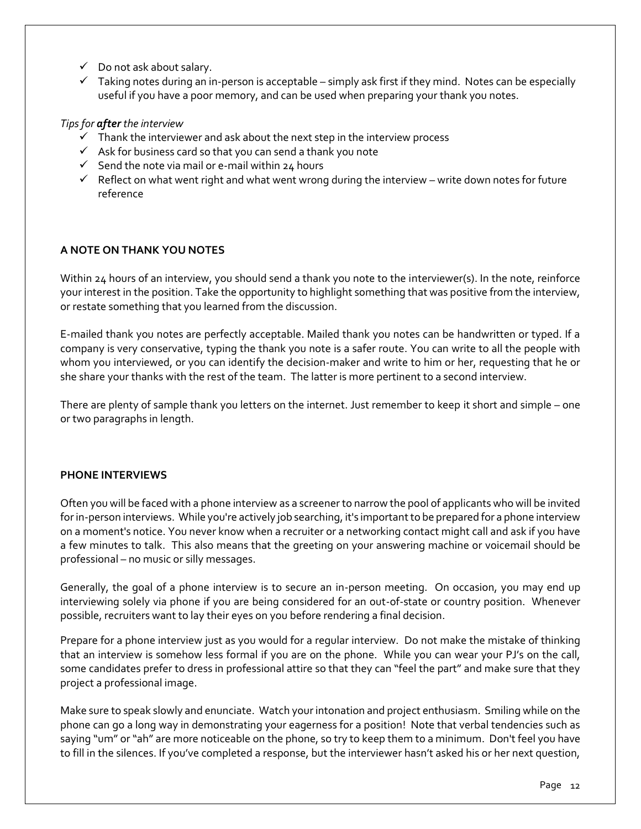- $\checkmark$  Do not ask about salary.
- $\checkmark$  Taking notes during an in-person is acceptable simply ask first if they mind. Notes can be especially useful if you have a poor memory, and can be used when preparing your thank you notes.

# *Tips for after the interview*

- $\checkmark$  Thank the interviewer and ask about the next step in the interview process
- $\checkmark$  Ask for business card so that you can send a thank you note
- $\checkmark$  Send the note via mail or e-mail within 24 hours
- $\checkmark$  Reflect on what went right and what went wrong during the interview write down notes for future reference

# **A NOTE ON THANK YOU NOTES**

Within 24 hours of an interview, you should send a thank you note to the interviewer(s). In the note, reinforce your interest in the position. Take the opportunity to highlight something that was positive from the interview, or restate something that you learned from the discussion.

E-mailed thank you notes are perfectly acceptable. Mailed thank you notes can be handwritten or typed. If a company is very conservative, typing the thank you note is a safer route. You can write to all the people with whom you interviewed, or you can identify the decision-maker and write to him or her, requesting that he or she share your thanks with the rest of the team. The latter is more pertinent to a second interview.

There are plenty of sample thank you letters on the internet. Just remember to keep it short and simple – one or two paragraphs in length.

#### **PHONE INTERVIEWS**

Often you will be faced with a phone interview as a screener to narrow the pool of applicants who will be invited for in-person interviews. While you're actively job searching, it's important to be prepared for a phone interview on a moment's notice. You never know when a recruiter or a networking contact might call and ask if you have a few minutes to talk. This also means that the greeting on your answering machine or voicemail should be professional – no music or silly messages.

Generally, the goal of a phone interview is to secure an in-person meeting. On occasion, you may end up interviewing solely via phone if you are being considered for an out-of-state or country position. Whenever possible, recruiters want to lay their eyes on you before rendering a final decision.

Prepare for a phone interview just as you would for a regular interview. Do not make the mistake of thinking that an interview is somehow less formal if you are on the phone. While you can wear your PJ's on the call, some candidates prefer to dress in professional attire so that they can "feel the part" and make sure that they project a professional image.

Make sure to speak slowly and enunciate. Watch your intonation and project enthusiasm. Smiling while on the phone can go a long way in demonstrating your eagerness for a position! Note that verbal tendencies such as saying "um" or "ah" are more noticeable on the phone, so try to keep them to a minimum. Don't feel you have to fill in the silences. If you've completed a response, but the interviewer hasn't asked his or her next question,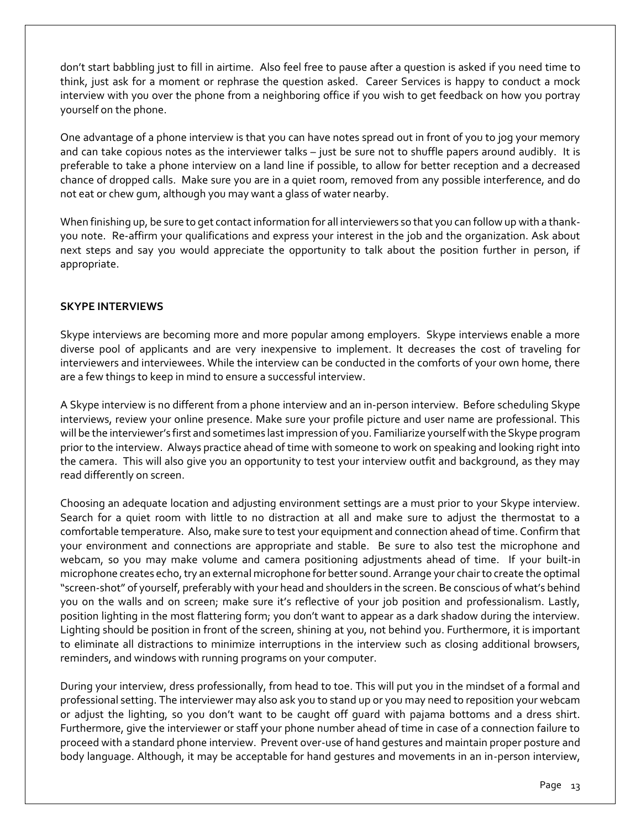don't start babbling just to fill in airtime. Also feel free to pause after a question is asked if you need time to think, just ask for a moment or rephrase the question asked. Career Services is happy to conduct a mock interview with you over the phone from a neighboring office if you wish to get feedback on how you portray yourself on the phone.

One advantage of a phone interview is that you can have notes spread out in front of you to jog your memory and can take copious notes as the interviewer talks – just be sure not to shuffle papers around audibly. It is preferable to take a phone interview on a land line if possible, to allow for better reception and a decreased chance of dropped calls. Make sure you are in a quiet room, removed from any possible interference, and do not eat or chew gum, although you may want a glass of water nearby.

When finishing up, be sure to get contact information for all interviewers so that you can follow up with a thankyou note. Re-affirm your qualifications and express your interest in the job and the organization. Ask about next steps and say you would appreciate the opportunity to talk about the position further in person, if appropriate.

#### **SKYPE INTERVIEWS**

Skype interviews are becoming more and more popular among employers. Skype interviews enable a more diverse pool of applicants and are very inexpensive to implement. It decreases the cost of traveling for interviewers and interviewees. While the interview can be conducted in the comforts of your own home, there are a few things to keep in mind to ensure a successful interview.

A Skype interview is no different from a phone interview and an in-person interview. Before scheduling Skype interviews, review your online presence. Make sure your profile picture and user name are professional. This will be the interviewer's first and sometimes last impression of you. Familiarize yourself with the Skype program prior to the interview. Always practice ahead of time with someone to work on speaking and looking right into the camera. This will also give you an opportunity to test your interview outfit and background, as they may read differently on screen.

Choosing an adequate location and adjusting environment settings are a must prior to your Skype interview. Search for a quiet room with little to no distraction at all and make sure to adjust the thermostat to a comfortable temperature. Also, make sure to test your equipment and connection ahead of time. Confirm that your environment and connections are appropriate and stable. Be sure to also test the microphone and webcam, so you may make volume and camera positioning adjustments ahead of time. If your built-in microphone creates echo, try an external microphone for better sound. Arrange your chair to create the optimal "screen-shot" of yourself, preferably with your head and shoulders in the screen. Be conscious of what's behind you on the walls and on screen; make sure it's reflective of your job position and professionalism. Lastly, position lighting in the most flattering form; you don't want to appear as a dark shadow during the interview. Lighting should be position in front of the screen, shining at you, not behind you. Furthermore, it is important to eliminate all distractions to minimize interruptions in the interview such as closing additional browsers, reminders, and windows with running programs on your computer.

During your interview, dress professionally, from head to toe. This will put you in the mindset of a formal and professional setting. The interviewer may also ask you to stand up or you may need to reposition your webcam or adjust the lighting, so you don't want to be caught off guard with pajama bottoms and a dress shirt. Furthermore, give the interviewer or staff your phone number ahead of time in case of a connection failure to proceed with a standard phone interview. Prevent over-use of hand gestures and maintain proper posture and body language. Although, it may be acceptable for hand gestures and movements in an in-person interview,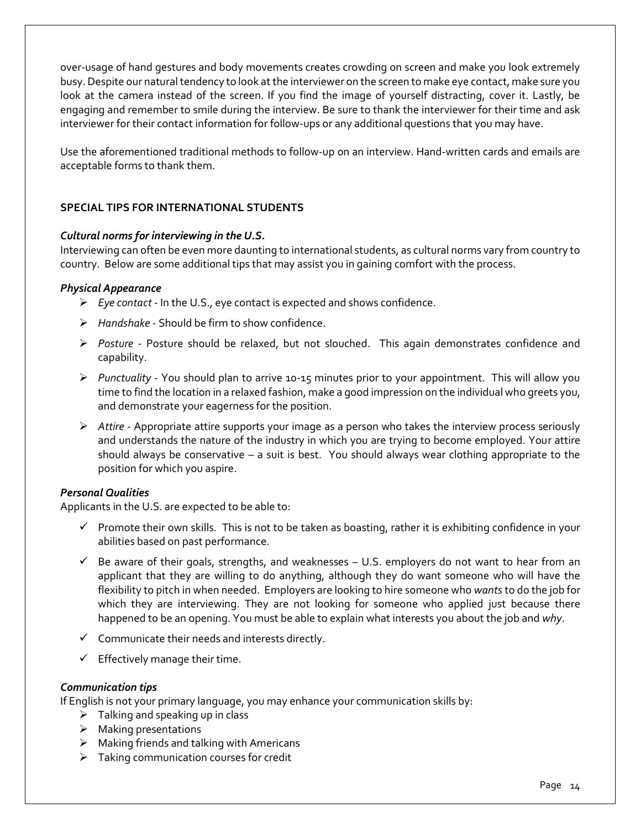over-usage of hand gestures and body movements creates crowding on screen and make you look extremely busy. Despite our natural tendency to look at the interviewer on the screen to make eye contact, make sure you look at the camera instead of the screen. If you find the image of yourself distracting, cover it. Lastly, be engaging and remember to smile during the interview. Be sure to thank the interviewer for their time and ask interviewer for their contact information for follow-ups or any additional questions that you may have.

Use the aforementioned traditional methods to follow-up on an interview. Hand-written cards and emails are acceptable forms to thank them.

## **SPECIAL TIPS FOR INTERNATIONAL STUDENTS**

#### *Cultural norms for interviewing in the U.S.*

Interviewing can often be even more daunting to international students, as cultural norms vary from country to country. Below are some additional tips that may assist you in gaining comfort with the process.

#### *Physical Appearance*

- *Eye contact* In the U.S., eye contact is expected and shows confidence.
- *Handshake* Should be firm to show confidence.
- *Posture* Posture should be relaxed, but not slouched. This again demonstrates confidence and capability.
- *Punctuality* You should plan to arrive 10-15 minutes prior to your appointment. This will allow you time to find the location in a relaxed fashion, make a good impression on the individual who greets you, and demonstrate your eagerness for the position.
- *Attire* Appropriate attire supports your image as a person who takes the interview process seriously and understands the nature of the industry in which you are trying to become employed. Your attire should always be conservative – a suit is best. You should always wear clothing appropriate to the position for which you aspire.

#### *Personal Qualities*

Applicants in the U.S. are expected to be able to:

- $\checkmark$  Promote their own skills. This is not to be taken as boasting, rather it is exhibiting confidence in your abilities based on past performance.
- $\checkmark$  Be aware of their goals, strengths, and weaknesses  $-$  U.S. employers do not want to hear from an applicant that they are willing to do anything, although they do want someone who will have the flexibility to pitch in when needed. Employers are looking to hire someone who *wants*to do the job for which they are interviewing. They are not looking for someone who applied just because there happened to be an opening. You must be able to explain what interests you about the job and *why*.
- $\checkmark$  Communicate their needs and interests directly.
- $\checkmark$  Effectively manage their time.

#### *Communication tips*

If English is not your primary language, you may enhance your communication skills by:

- $\triangleright$  Talking and speaking up in class
- $\triangleright$  Making presentations
- $\triangleright$  Making friends and talking with Americans
- $\triangleright$  Taking communication courses for credit